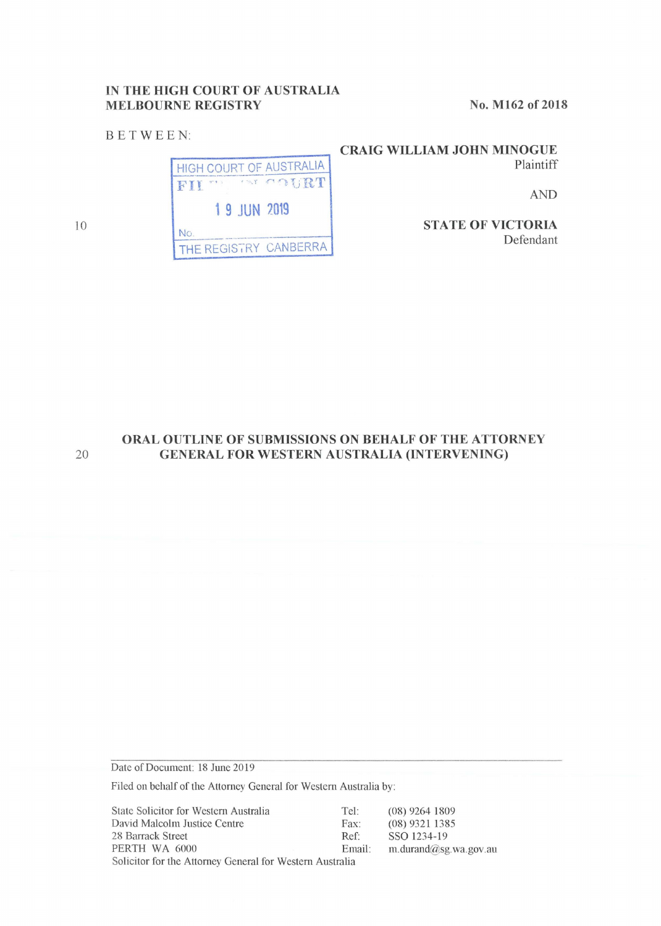## **IN THE HIGH COURT OF AUSTRALIA MELBOURNE REGISTRY**

BE TWEEN:

No. M162 of 2018

HIGH COURT OF AUSTRALIA **i-------** FII .-. · , ·' *-r•* .-"f)1\_jRT **1 9 JUN 2019**  No.<br>———————————————————— THE REGISTRY CANBERRA

**CRAIG WILLIAM JOHN MINOGUE**  Plaintiff

AND

**STA TE OF VICTORIA**  Defendant

10

# **ORAL OUTLINE OF SUBMISSIONS ON BEHALF OF THE ATTORNEY**  20 **GENERAL FOR WESTERN AUSTRALIA (INTERVENING)**

Date of Document: 18 June 2019

Filed on behalf of the Attorney General for Western Australia by:

State Solicitor for Western Australia Tel: David Malcolm Justice Centre Fax: 28 Barrack Street Ref: PERTH WA 6000 Email: Solicitor for the Attorney General for Western Australia (08) 9264 1809 (08) 9321 1385 sso 1234-19 m.durand@sg.wa.gov.au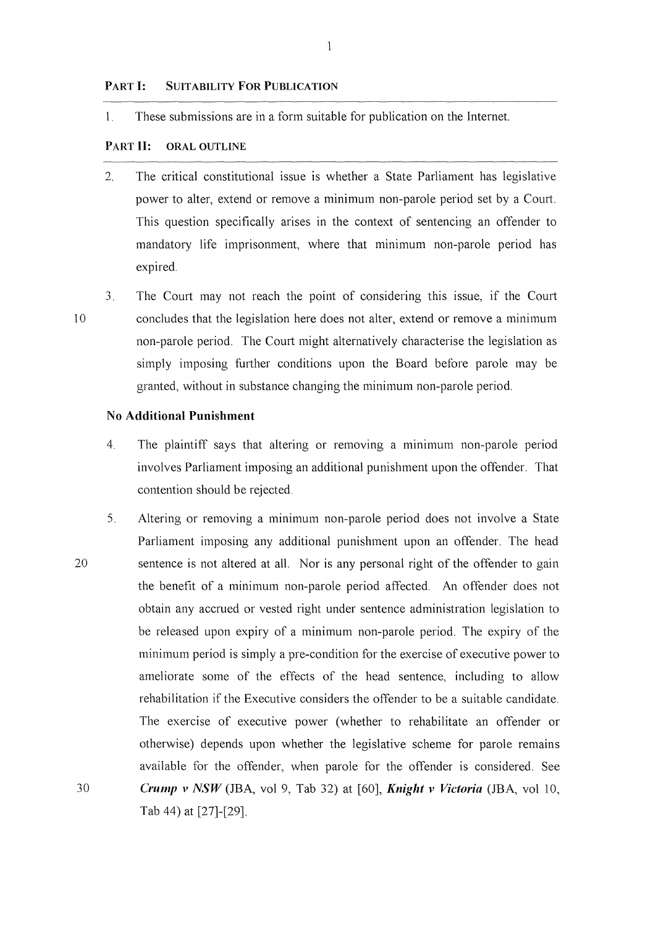#### **PART** I: **SUITABILITY FOR PUBLICATION**

l. These submissions are in a form suitable for publication on the Internet.

## **PART** II: **ORAL OUTLINE**

- 2. The critical constitutional issue is whether a State Parliament has legislative power to alter, extend or remove a minimum non-parole period set by a Court. This question specifically arises in the context of sentencing an offender to mandatory life imprisonment, where that minimum non-parole period has expired.
- ,.., The Court may not reach the point of considering this issue, if the Court concludes that the legislation here does not alter, extend or remove a minimum non-parole period. The Court might alternatively characterise the legislation as simply imposing further conditions upon the Board before parole may be granted, without in substance changing the minimum non-parole period.

#### **No Additional Punishment**

- 4. The plaintiff says that altering or removing a minimum non-parole period involves Parliament imposing an additional punishment upon the offender. That contention should be rejected.
- 5. Altering or removing a minimum non-parole period does not involve a State Parliament imposing any additional punishment upon an offender. The head 20 sentence is not altered at all. Nor is any personal right of the offender to gain the benefit of a minimum non-parole period affected. An offender does not obtain any accrued or vested right under sentence administration legislation to be released upon expiry of a minimum non-parole period. The expiry of the minimum period is simply a pre-condition for the exercise of executive power to ameliorate some of the effects of the head sentence, including to allow rehabilitation if the Executive considers the offender to be a suitable candidate. The exercise of executive power (whether to rehabilitate an offender or otherwise) depends upon whether the legislative scheme for parole remains available for the offender, when parole for the offender is considered. See 30 *Crump v NSW* (JBA, vol 9, Tab 32) at [60], *Knight v Victoria* (JBA, vol 10, Tab 44) at [27]-[29].

10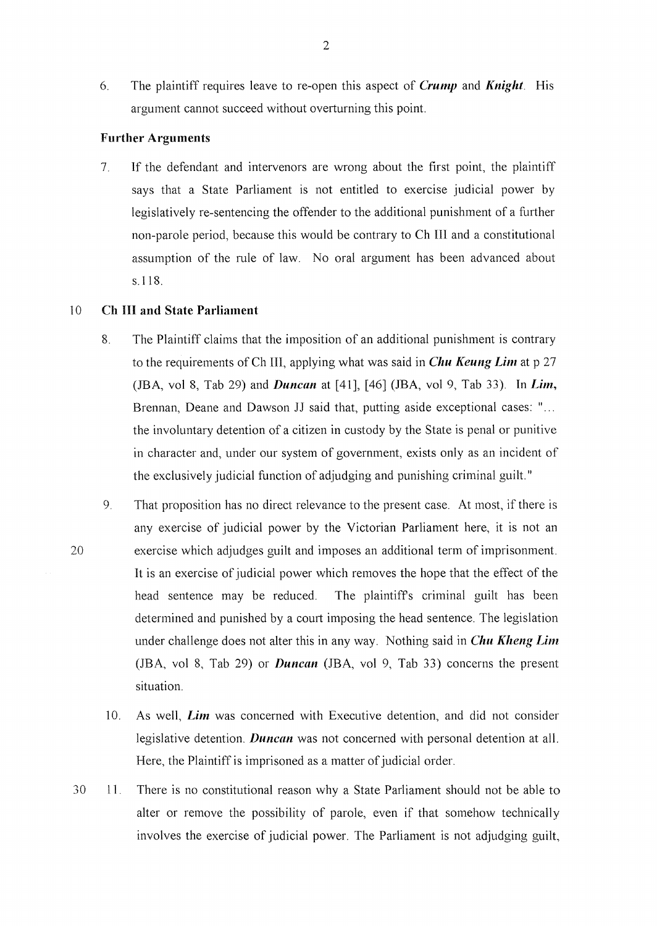6. The plaintiff requires leave to re-open this aspect of *Crump* and *Knight.* His argument cannot succeed without overturning this point.

## **Further Arguments**

7. If the defendant and intervenors are wrong about the first point, the plaintiff says that a State Parliament is not entitled to exercise judicial power by legislatively re-sentencing the offender to the additional punishment of a further non-parole period, because this would be contrary to Ch Ill and a constitutional assumption of the mle of law. No oral argument has been advanced about s.118.

#### IO **Ch HI and State Parliament**

- 8. The Plaintiff claims that the imposition of an additional punishment is contrary to the requirements of Ch III, applying what was said in *Chu Keung Lim* at p 27 (JBA, vol 8, Tab 29) and *Duncan* at [41], [46] (JBA, vol 9, Tab 33). In *Lim,*  Brennan, Deane and Dawson JJ said that, putting aside exceptional cases: "... the involuntary detention of a citizen in custody by the State is penal or punitive in character and, under our system of government, exists only as an incident of the exclusively judicial function of adjudging and punishing criminal guilt."
- 9. That proposition has no direct relevance to the present case. At most, if there is any exercise of judicial power by the Victorian Parliament here, it is not an 20 exercise which adjudges guilt and imposes an additional term of imprisonment. lt is an exercise of judicial power which removes the hope that the effect of the head sentence may be reduced. The plaintiffs criminal guilt has been determined and punished by a court imposing the head sentence. The legislation under challenge does not alter this in any way. Nothing said in *Chu Kheng Lim*  (JBA, vol 8, Tab 29) or *Duncan* (JBA, vol 9, Tab 33) concerns the present situation.
	- 10. As well, *Lim* was concerned with Executive detention, and did not consider legislative detention. *Duncan* was not concerned with personal detention at all. Here, the Plaintiff is imprisoned as a matter of judicial order.
- 30 I I. There is no constitutional reason why a State Parliament should not be able to alter or remove the possibility of parole, even if that somehow technically involves the exercise of judicial power. The Parliament is not adjudging guilt,